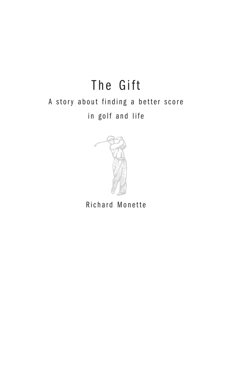# The Gift A story about finding a better score in golf and life



Richard Monette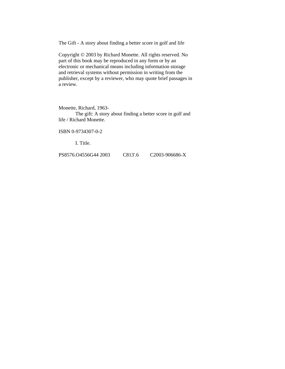The Gift - A story about finding a better score in golf and life

Copyright © 2003 by Richard Monette. All rights reserved. No part of this book may be reproduced in any form or by an electronic or mechanical means including information storage and retrieval systems without permission in writing from the publisher, except by a reviewer, who may quote brief passages in a review.

Monette, Richard, 1963-

The gift: A story about finding a better score in golf and life / Richard Monette.

ISBN 0-9734307-0-2

I. Title.

PS8576.O4556G44 2003 C813'.6 C2003-906686-X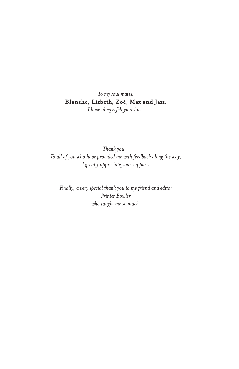#### *To my soul mates,*  **Blanche, Lizbeth, Zoé, Max and Jazz.** *I have always felt your love.*

*Thank you – To all of you who have provided me with feedback along the way, I greatly appreciate your support.*

*Finally, a very special thank you to my friend and editor Printer Bowler who taught me so much.*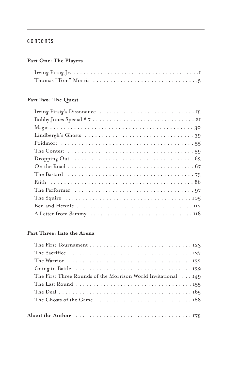#### contents

#### **Part One: The Players**

#### **Part Two: The Quest**

#### **Part Three: Into the Arena**

| The Warrior $\dots\dots\dots\dots\dots\dots\dots\dots\dots\dots\dots\dots$           |
|--------------------------------------------------------------------------------------|
|                                                                                      |
| The First Three Rounds of the Morrison World Invitational 149                        |
|                                                                                      |
|                                                                                      |
|                                                                                      |
|                                                                                      |
| About the Author $\dots\dots\dots\dots\dots\dots\dots\dots\dots\dots\dots\dots\dots$ |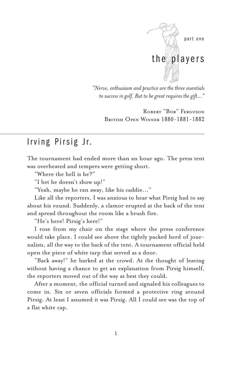

*"Nerve, enthusiasm and practice are the three essentials to success in golf. But to be great requires the gift..."*

Robert "Bob" Ferguson British Open Winner 1880-1881-1882

### Irving Pirsig Jr.

The tournament had ended more than an hour ago. The press tent was overheated and tempers were getting short.

"Where the hell is he?"

"I bet he doesn't show up!"

"Yeah, maybe he ran away, like his caddie..."

Like all the reporters, I was anxious to hear what Pirsig had to say about his round. Suddenly, a clamor erupted at the back of the tent and spread throughout the room like a brush fire.

"He's here! Pirsig's here!"

I rose from my chair on the stage where the press conference would take place. I could see above the tightly packed herd of journalists, all the way to the back of the tent. A tournament official held open the piece of white tarp that served as a door.

"Back away!" he barked at the crowd. At the thought of leaving without having a chance to get an explanation from Pirsig himself, the reporters moved out of the way as best they could.

After a moment, the official turned and signaled his colleagues to come in. Six or seven officials formed a protective ring around Pirsig. At least I assumed it was Pirsig. All I could see was the top of a flat white cap.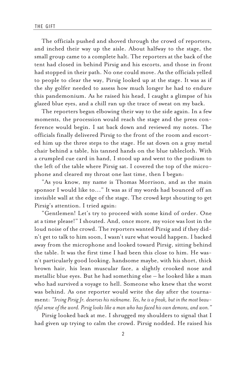The officials pushed and shoved through the crowd of reporters, and inched their way up the aisle. About halfway to the stage, the small group came to a complete halt. The reporters at the back of the tent had closed in behind Pirsig and his escorts, and those in front had stopped in their path. No one could move. As the officials yelled to people to clear the way, Pirsig looked up at the stage. It was as if the shy golfer needed to assess how much longer he had to endure this pandemonium. As he raised his head, I caught a glimpse of his glazed blue eyes, and a chill ran up the trace of sweat on my back.

The reporters began elbowing their way to the side again. In a few moments, the procession would reach the stage and the press conference would begin. I sat back down and reviewed my notes. The officials finally delivered Pirsig to the front of the room and escorted him up the three steps to the stage. He sat down on a gray metal chair behind a table, his tanned hands on the blue tablecloth. With a crumpled cue card in hand, I stood up and went to the podium to the left of the table where Pirsig sat. I covered the top of the microphone and cleared my throat one last time, then I began:

"As you know, my name is Thomas Morrison, and as the main sponsor I would like to..." It was as if my words had bounced off an invisible wall at the edge of the stage. The crowd kept shouting to get Pirsig's attention. I tried again:

"Gentlemen! Let's try to proceed with some kind of order. One at a time please!" I shouted. And, once more, my voice was lost in the loud noise of the crowd. The reporters wanted Pirsig and if they didn't get to talk to him soon, I wasn't sure what would happen. I backed away from the microphone and looked toward Pirsig, sitting behind the table. It was the first time I had been this close to him. He wasn't particularly good looking, handsome maybe, with his short, thick brown hair, his lean muscular face, a slightly crooked nose and metallic blue eyes. But he had something else – he looked like a man who had survived a voyage to hell. Someone who knew that the worst was behind. As one reporter would write the day after the tournament: *"Irving Pirsig Jr. deserves his nickname. Yes, he is a freak, but in the most beautiful sense of the word. Pirsig looks like a man who has faced his own demons, and won."*

Pirsig looked back at me. I shrugged my shoulders to signal that I had given up trying to calm the crowd. Pirsig nodded. He raised his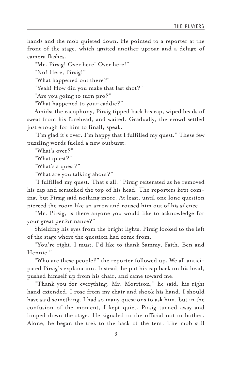hands and the mob quieted down. He pointed to a reporter at the front of the stage, which ignited another uproar and a deluge of camera flashes.

"Mr. Pirsig! Over here! Over here!"

"No! Here, Pirsig!"

"What happened out there?"

"Yeah! How did you make that last shot?"

"Are you going to turn pro?"

"What happened to your caddie?"

Amidst the cacophony, Pirsig tipped back his cap, wiped beads of sweat from his forehead, and waited. Gradually, the crowd settled just enough for him to finally speak.

"I'm glad it's over. I'm happy that I fulfilled my quest." These few puzzling words fueled a new outburst:

"What's over?"

"What quest?"

"What's a quest?"

"What are you talking about?"

"I fulfilled my quest. That's all," Pirsig reiterated as he removed his cap and scratched the top of his head. The reporters kept coming, but Pirsig said nothing more. At least, until one lone question pierced the room like an arrow and roused him out of his silence:

"Mr. Pirsig, is there anyone you would like to acknowledge for your great performance?"

Shielding his eyes from the bright lights, Pirsig looked to the left of the stage where the question had come from.

"You're right. I must. I'd like to thank Sammy, Faith, Ben and Hennie."

"Who are these people?" the reporter followed up. We all anticipated Pirsig's explanation. Instead, he put his cap back on his head, pushed himself up from his chair, and came toward me.

"Thank you for everything, Mr. Morrison," he said, his right hand extended. I rose from my chair and shook his hand. I should have said something. I had so many questions to ask him, but in the confusion of the moment, I kept quiet. Pirsig turned away and limped down the stage. He signaled to the official not to bother. Alone, he began the trek to the back of the tent. The mob still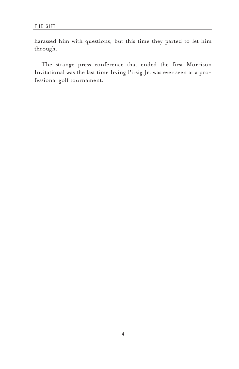harassed him with questions, but this time they parted to let him through.

The strange press conference that ended the first Morrison Invitational was the last time Irving Pirsig Jr. was ever seen at a professional golf tournament.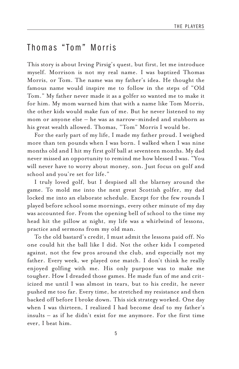## Thomas "Tom" Morris

This story is about Irving Pirsig's quest, but first, let me introduce myself. Morrison is not my real name. I was baptized Thomas Morris, or Tom. The name was my father's idea. He thought the famous name would inspire me to follow in the steps of "Old Tom." My father never made it as a golfer so wanted me to make it for him. My mom warned him that with a name like Tom Morris, the other kids would make fun of me. But he never listened to my mom or anyone else – he was as narrow-minded and stubborn as his great wealth allowed. Thomas, "Tom" Morris I would be.

For the early part of my life, I made my father proud. I weighed more than ten pounds when I was born. I walked when I was nine months old and I hit my first golf ball at seventeen months. My dad never missed an opportunity to remind me how blessed I was. "You will never have to worry about money, son. Just focus on golf and school and you're set for life."

I truly loved golf, but I despised all the blarney around the game. To mold me into the next great Scottish golfer, my dad locked me into an elaborate schedule. Except for the few rounds I played before school some mornings, every other minute of my day was accounted for. From the opening bell of school to the time my head hit the pillow at night, my life was a whirlwind of lessons, practice and sermons from my old man.

To the old bastard's credit, I must admit the lessons paid off. No one could hit the ball like I did. Not the other kids I competed against, not the few pros around the club, and especially not my father. Every week, we played one match. I don't think he really enjoyed golfing with me. His only purpose was to make me tougher. How I dreaded those games. He made fun of me and criticized me until I was almost in tears, but to his credit, he never pushed me too far. Every time, he stretched my resistance and then backed off before I broke down. This sick strategy worked. One day when I was thirteen, I realized I had become deaf to my father's insults – as if he didn't exist for me anymore. For the first time ever, I beat him.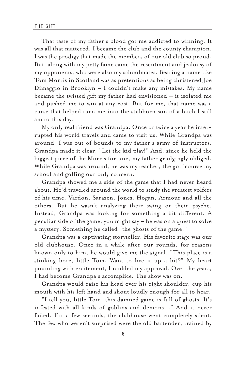That taste of my father's blood got me addicted to winning. It was all that mattered. I became the club and the county champion. I was the prodigy that made the members of our old club so proud. But, along with my petty fame came the resentment and jealousy of my opponents, who were also my schoolmates. Bearing a name like Tom Morris in Scotland was as pretentious as being christened Joe Dimaggio in Brooklyn – I couldn't make any mistakes. My name became the twisted gift my father had envisioned – it isolated me and pushed me to win at any cost. But for me, that name was a curse that helped turn me into the stubborn son of a bitch I still am to this day.

My only real friend was Grandpa. Once or twice a year he interrupted his world travels and came to visit us. While Grandpa was around, I was out of bounds to my father's army of instructors. Grandpa made it clear, "Let the kid play!" And, since he held the biggest piece of the Morris fortune, my father grudgingly obliged. While Grandpa was around, he was my teacher, the golf course my school and golfing our only concern.

Grandpa showed me a side of the game that I had never heard about. He'd traveled around the world to study the greatest golfers of his time: Vardon, Sarazen, Jones, Hogan, Armour and all the others. But he wasn't analyzing their swing or their psyche. Instead, Grandpa was looking for something a bit different. A peculiar side of the game, you might say – he was on a quest to solve a mystery. Something he called "the ghosts of the game."

Grandpa was a captivating storyteller. His favorite stage was our old clubhouse. Once in a while after our rounds, for reasons known only to him, he would give me the signal. "This place is a stinking bore, little Tom. Want to live it up a bit?" My heart pounding with excitement, I nodded my approval. Over the years, I had become Grandpa's accomplice. The show was on.

Grandpa would raise his head over his right shoulder, cup his mouth with his left hand and shout loudly enough for all to hear:

"I tell you, little Tom, this damned game is full of ghosts. It's infested with all kinds of goblins and demons..." And it never failed. For a few seconds, the clubhouse went completely silent. The few who weren't surprised were the old bartender, trained by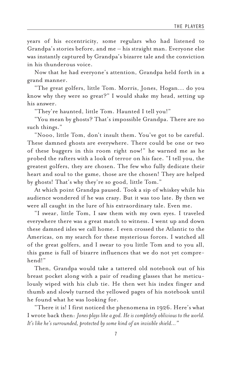years of his eccentricity, some regulars who had listened to Grandpa's stories before, and me – his straight man. Everyone else was instantly captured by Grandpa's bizarre tale and the conviction in his thunderous voice.

Now that he had everyone's attention, Grandpa held forth in a grand manner.

"The great golfers, little Tom. Morris, Jones, Hogan... do you know why they were so great?" I would shake my head, setting up his answer.

"They're haunted, little Tom. Haunted I tell you!"

"You mean by ghosts? That's impossible Grandpa. There are no such things."

"Nooo, little Tom, don't insult them. You've got to be careful. These damned ghosts are everywhere. There could be one or two of these buggers in this room right now!" he warned me as he probed the rafters with a look of terror on his face. "I tell you, the greatest golfers, they are chosen. The few who fully dedicate their heart and soul to the game, those are the chosen! They are helped by ghosts! That's why they're so good, little Tom."

At which point Grandpa paused. Took a sip of whiskey while his audience wondered if he was crazy. But it was too late. By then we were all caught in the lure of his extraordinary tale. Even me.

"I swear, little Tom, I saw them with my own eyes. I traveled everywhere there was a great match to witness. I went up and down these damned isles we call home. I even crossed the Atlantic to the Americas, on my search for these mysterious forces. I watched all of the great golfers, and I swear to you little Tom and to you all, this game is full of bizarre influences that we do not yet comprehend!"

Then, Grandpa would take a tattered old notebook out of his breast pocket along with a pair of reading glasses that he meticulously wiped with his club tie. He then wet his index finger and thumb and slowly turned the yellowed pages of his notebook until he found what he was looking for.

"There it is! I first noticed the phenomena in 1926. Here's what I wrote back then: *Jones plays like a god. He is completely oblivious to the world. It's like he's surrounded, protected by some kind of an invisible shield..."*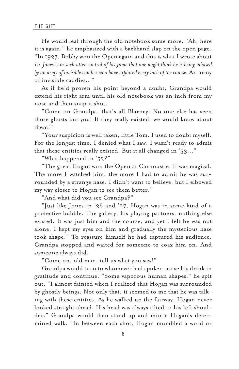He would leaf through the old notebook some more. "Ah, here it is again," he emphasized with a backhand slap on the open page. "In 1927, Bobby won the Open again and this is what I wrote about it: *Jones is in such utter control of his game that one might think he is being advised by an army of invisible caddies who have explored every inch of the course.* An army of invisible caddies.*.."*

As if he'd proven his point beyond a doubt, Grandpa would extend his right arm until his old notebook was an inch from my nose and then snap it shut.

"Come on Grandpa, that's all Blarney. No one else has seen those ghosts but you! If they really existed, we would know about them!"

"Your suspicion is well taken, little Tom. I used to doubt myself. For the longest time, I denied what I saw. I wasn't ready to admit that these entities really existed. But it all changed in '53..."

"What happened in '53?"

"The great Hogan won the Open at Carnoustie. It was magical. The more I watched him, the more I had to admit he was surrounded by a strange haze. I didn't want to believe, but I elbowed my way closer to Hogan to see them better."

"And what did you see Grandpa?"

"Just like Jones in '26 and '27, Hogan was in some kind of a protective bubble. The gallery, his playing partners, nothing else existed. It was just him and the course, and yet I felt he was not alone. I kept my eyes on him and gradually the mysterious haze took shape." To reassure himself he had captured his audience, Grandpa stopped and waited for someone to coax him on. And someone always did.

"Come on, old man, tell us what you saw!"

Grandpa would turn to whomever had spoken, raise his drink in gratitude and continue. "Some vaporous human shapes," he spit out, "I almost fainted when I realized that Hogan was surrounded by ghostly beings. Not only that, it seemed to me that he was talking with these entities. As he walked up the fairway, Hogan never looked straight ahead. His head was always tilted to his left shoulder." Grandpa would then stand up and mimic Hogan's determined walk. "In between each shot, Hogan mumbled a word or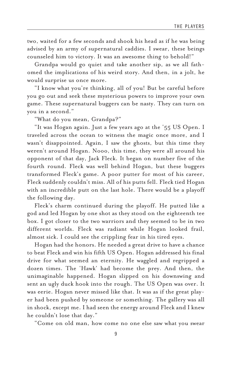two, waited for a few seconds and shook his head as if he was being advised by an army of supernatural caddies. I swear, these beings counseled him to victory. It was an awesome thing to behold!"

Grandpa would go quiet and take another sip, as we all fathomed the implications of his weird story. And then, in a jolt, he would surprise us once more.

"I know what you're thinking, all of you! But be careful before you go out and seek these mysterious powers to improve your own game. These supernatural buggers can be nasty. They can turn on you in a second."

"What do you mean, Grandpa?"

"It was Hogan again. Just a few years ago at the '55 US Open. I traveled across the ocean to witness the magic once more, and I wasn't disappointed. Again, I saw the ghosts, but this time they weren't around Hogan. Nooo, this time, they were all around his opponent of that day, Jack Fleck. It began on number five of the fourth round. Fleck was well behind Hogan, but these buggers transformed Fleck's game. A poor putter for most of his career, Fleck suddenly couldn't miss. All of his putts fell. Fleck tied Hogan with an incredible putt on the last hole. There would be a playoff the following day.

Fleck's charm continued during the playoff. He putted like a god and led Hogan by one shot as they stood on the eighteenth tee box. I got closer to the two warriors and they seemed to be in two different worlds. Fleck was radiant while Hogan looked frail, almost sick. I could see the crippling fear in his tired eyes.

Hogan had the honors. He needed a great drive to have a chance to beat Fleck and win his fifth US Open. Hogan addressed his final drive for what seemed an eternity. He waggled and regripped a dozen times. The 'Hawk' had become the prey. And then, the unimaginable happened. Hogan slipped on his downswing and sent an ugly duck hook into the rough. The US Open was over. It was eerie. Hogan never missed like that. It was as if the great player had been pushed by someone or something. The gallery was all in shock, except me. I had seen the energy around Fleck and I knew he couldn't lose that day."

"Come on old man, how come no one else saw what you swear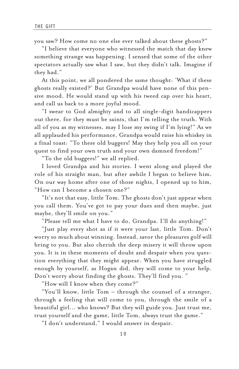you saw? How come no one else ever talked about these ghosts?"

"I believe that everyone who witnessed the match that day knew something strange was happening. I sensed that some of the other spectators actually saw what I saw, but they didn't talk. Imagine if they had."

At this point, we all pondered the same thought: 'What if these ghosts really existed?' But Grandpa would have none of this pensive mood. He would stand up with his tweed cap over his heart, and call us back to a more joyful mood.

"I swear to God almighty and to all single-digit handicappers out there, for they must be saints, that I'm telling the truth. With all of you as my witnesses, may I lose my swing if I'm lying!" As we all applauded his performance, Grandpa would raise his whiskey in a final toast: "To these old buggers! May they help you all on your quest to find your own truth and your own damned freedom!"

"To the old buggers!" we all replied.

I loved Grandpa and his stories. I went along and played the role of his straight man, but after awhile I began to believe him. On our way home after one of those nights, I opened up to him, "How can I become a chosen one?"

"It's not that easy, little Tom. The ghosts don't just appear when you call them. You've got to pay your dues and then maybe, just maybe, they'll smile on you."

"Please tell me what I have to do, Grandpa. I'll do anything!"

"Just play every shot as if it were your last, little Tom. Don't worry so much about winning. Instead, savor the pleasures golf will bring to you. But also cherish the deep misery it will throw upon you. It is in these moments of doubt and despair when you question everything that they might appear. When you have struggled enough by yourself, as Hogan did, they will come to your help. Don't worry about finding the ghosts. They'll find you. "

"How will I know when they come?"

"You'll know, little Tom – through the counsel of a stranger, through a feeling that will come to you, through the smile of a beautiful girl... who knows? But they will guide you. Just trust me, trust yourself and the game, little Tom, always trust the game."

"I don't understand," I would answer in despair.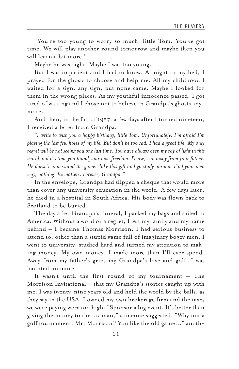"You're too young to worry so much, little Tom. You've got time. We will play another round tomorrow and maybe then you will learn a bit more."

Maybe he was right. Maybe I was too young.

But I was impatient and I had to know. At night in my bed, I prayed for the ghosts to choose and help me. All my childhood I waited for a sign, any sign, but none came. Maybe I looked for them in the wrong places. As my youthful innocence passed, I got tired of waiting and I chose not to believe in Grandpa's ghosts anymore.

And then, in the fall of 1957, a few days after I turned nineteen, I received a letter from Grandpa.

*"I write to wish you a happy birthday, little Tom. Unfortunately, I'm afraid I'm playing the last few holes of my life. But don't be too sad, I had a great life. My only regret will be not seeing you one last time. You have always been my ray of light in this world and it's time you found your own freedom. Please, run away from your father. He doesn't understand the game. Take this gift and go study abroad. Find your own way, nothing else matters. Forever, Grandpa."*

In the envelope, Grandpa had slipped a cheque that would more than cover any university education in the world. A few days later, he died in a hospital in South Africa. His body was flown back to Scotland to be buried.

The day after Grandpa's funeral, I packed my bags and sailed to America. Without a word or a regret, I left my family and my name behind – I became Thomas Morrison. I had serious business to attend to, other than a stupid game full of imaginary bogey men. I went to university, studied hard and turned my attention to making money. My own money. I made more than I'll ever spend. Away from my father's grip, my Grandpa's love and golf, I was haunted no more.

It wasn't until the first round of my tournament – The Morrison Invitational – that my Grandpa's stories caught up with me. I was twenty-nine years old and held the world by the balls, as they say in the USA. I owned my own brokerage firm and the taxes we were paying were too high. "Sponsor a big event. It's better than giving the money to the tax man," someone suggested. "Why not a golf tournament, Mr. Morrison? You like the old game..." anoth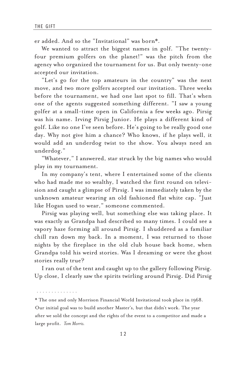er added. And so the "Invitational" was born\*.

We wanted to attract the biggest names in golf. "The twentyfour premium golfers on the planet!" was the pitch from the agency who organized the tournament for us. But only twenty-one accepted our invitation.

"Let's go for the top amateurs in the country" was the next move, and two more golfers accepted our invitation. Three weeks before the tournament, we had one last spot to fill. That's when one of the agents suggested something different. "I saw a young golfer at a small-time open in California a few weeks ago. Pirsig was his name. Irving Pirsig Junior. He plays a different kind of golf. Like no one I've seen before. He's going to be really good one day. Why not give him a chance? Who knows, if he plays well, it would add an underdog twist to the show. You always need an underdog."

"Whatever," I answered, star struck by the big names who would play in my tournament.

In my company's tent, where I entertained some of the clients who had made me so wealthy, I watched the first round on television and caught a glimpse of Pirsig. I was immediately taken by the unknown amateur wearing an old fashioned flat white cap. "Just like Hogan used to wear," someone commented.

Pirsig was playing well, but something else was taking place. It was exactly as Grandpa had described so many times. I could see a vapory haze forming all around Pirsig. I shuddered as a familiar chill ran down my back. In a moment, I was returned to those nights by the fireplace in the old club house back home, when Grandpa told his weird stories. Was I dreaming or were the ghost stories really true?

I ran out of the tent and caught up to the gallery following Pirsig. Up close, I clearly saw the spirits twirling around Pirsig. Did Pirsig

· · · · · · · · · · · · · ·

\* The one and only Morrison Financial World Invitational took place in 1968. Our initial goal was to build another Master's, but that didn't work. The year after we sold the concept and the rights of the event to a competitor and made a large profit. *Tom Morris.*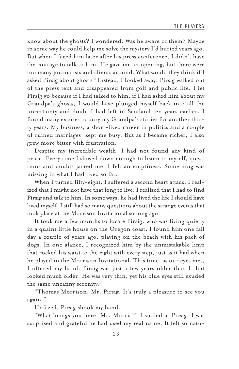know about the ghosts? I wondered. Was he aware of them? Maybe in some way he could help me solve the mystery I'd buried years ago. But when I faced him later after his press conference, I didn't have the courage to talk to him. He gave me an opening, but there were too many journalists and clients around. What would they think if I asked Pirsig about ghosts? Instead, I looked away. Pirsig walked out of the press tent and disappeared from golf and public life. I let Pirsig go because if I had talked to him, if I had asked him about my Grandpa's ghosts, I would have plunged myself back into all the uncertainty and doubt I had left in Scotland ten years earlier. I found many excuses to bury my Grandpa's stories for another thirty years. My business, a short-lived career in politics and a couple of ruined marriages kept me busy. But as I became richer, I also grew more bitter with frustration.

Despite my incredible wealth, I had not found any kind of peace. Every time I slowed down enough to listen to myself, questions and doubts jarred me. I felt an emptiness. Something was missing in what I had lived so far.

When I turned fifty-eight, I suffered a second heart attack. I realized that I might not have that long to live. I realized that I had to find Pirsig and talk to him. In some ways, he had lived the life I should have lived myself. I still had so many questions about the strange events that took place at the Morrison Invitational so long ago.

It took me a few months to locate Pirsig, who was living quietly in a quaint little house on the Oregon coast. I found him one fall day a couple of years ago, playing on the beach with his pack of dogs. In one glance, I recognized him by the unmistakable limp that rocked his waist to the right with every step, just as it had when he played in the Morrison Invitational. This time, as our eyes met, I offered my hand. Pirsig was just a few years older than I, but looked much older. He was very thin, yet his blue eyes still exuded the same uncanny serenity.

"Thomas Morrison, Mr. Pirsig. It's truly a pleasure to see you again."

Unfazed, Pirsig shook my hand.

"What brings you here, Mr. Morris?" I smiled at Pirsig. I was surprised and grateful he had used my real name. It felt so natu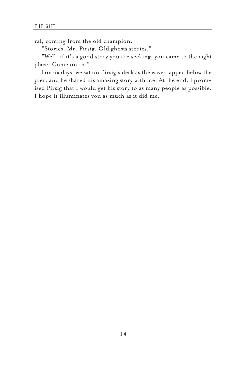ral, coming from the old champion.

"Stories, Mr. Pirsig. Old ghosts stories."

"Well, if it's a good story you are seeking, you came to the right place. Come on in."

For six days, we sat on Pirsig's deck as the waves lapped below the pier, and he shared his amazing story with me. At the end, I promised Pirsig that I would get his story to as many people as possible. I hope it illuminates you as much as it did me.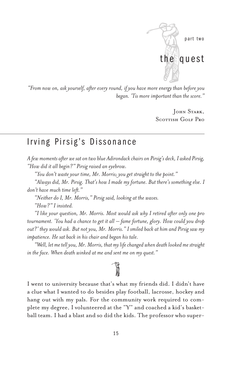

*"From now on, ask yourself, after every round, if you have more energy than before you began. 'Tis more important than the score."*

> John Stark, Scottish Golf Pro

### Irving Pirsig's Dissonance

*A few moments after we sat on two blue Adirondack chairs on Pirsig's deck, I asked Pirsig, "How did it all begin?" Pirsig raised an eyebrow.*

*"You don't waste your time, Mr. Morris; you get straight to the point."*

*"Always did, Mr. Pirsig. That's how I made my fortune. But there's something else. I don't have much time left."*

*"Neither do I, Mr. Morris," Pirsig said, looking at the waves.*

*"How?" I insisted.*

*"I like your question, Mr. Morris. Most would ask why I retired after only one pro tournament. 'You had a chance to get it all – fame fortune, glory. How could you drop out?' they would ask. But not you, Mr. Morris." I smiled back at him and Pirsig saw my impatience. He sat back in his chair and began his tale.*

*"Well, let me tell you, Mr. Morris, that my life changed when death looked me straight in the face. When death winked at me and sent me on my quest."*

# $\mathbb{R}$

I went to university because that's what my friends did. I didn't have a clue what I wanted to do besides play football, lacrosse, hockey and hang out with my pals. For the community work required to complete my degree, I volunteered at the "Y" and coached a kid's basketball team. I had a blast and so did the kids. The professor who super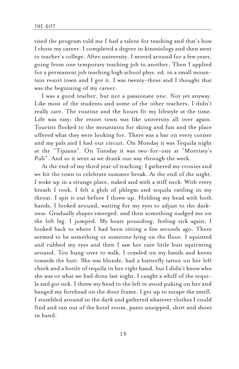vised the program told me I had a talent for teaching and that's how I chose my career. I completed a degree in kinesiology and then went to teacher's college. After university, I moved around for a few years, going from one temporary teaching job to another. Then I applied for a permanent job teaching high school phys. ed. in a small mountain resort town and I got it. I was twenty-three and I thought that was the beginning of my career.

I was a good teacher, but not a passionate one. Not yet anyway. Like most of the students and some of the other teachers, I didn't really care. The routine and the hours fit my lifestyle at the time. Life was easy; the resort town was like university all over again. Tourists flocked to the mountains for skiing and fun and the place offered what they were looking for. There was a bar on every corner and my pals and I had our circuit. On Monday it was Tequila night at the "Tijuana". On Tuesday it was two-for-one at "Morrisey's Pub". And so it went as we drank our way through the week.

At the end of my third year of teaching, I gathered my cronies and we hit the town to celebrate summer break. At the end of the night, I woke up in a strange place, naked and with a stiff neck. With every breath I took, I felt a glob of phlegm and tequila rattling in my throat. I spit it out before I threw up. Holding my head with both hands, I looked around, waiting for my eyes to adjust to the darkness. Gradually shapes emerged, and then something nudged me on the left leg. I jumped. My heart pounding, feeling sick again, I looked back to where I had been sitting a few seconds ago. There seemed to be something or someone lying on the floor. I squinted and rubbed my eyes and then I saw her cute little butt squirming around. Too hung-over to walk, I crawled on my hands and knees towards the butt. She was blonde, had a butterfly tattoo on her left cheek and a bottle of tequila in her right hand, but I didn't know who she was or what we had done last night. I caught a whiff of the tequila and got sick. I threw my head to the left to avoid puking on her and banged my forehead on the door frame. I got up to escape the smell. I stumbled around in the dark and gathered whatever clothes I could find and ran out of the hotel room, pants unzipped, shirt and shoes in hand.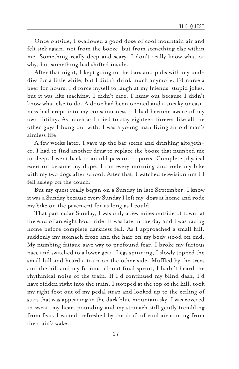Once outside, I swallowed a good dose of cool mountain air and felt sick again, not from the booze, but from something else within me. Something really deep and scary. I don't really know what or why, but something had shifted inside.

After that night, I kept going to the bars and pubs with my buddies for a little while, but I didn't drink much anymore. I'd nurse a beer for hours. I'd force myself to laugh at my friends' stupid jokes, but it was like teaching, I didn't care. I hung out because I didn't know what else to do. A door had been opened and a sneaky uneasiness had crept into my consciousness – I had become aware of my own futility. As much as I tried to stay eighteen forever like all the other guys I hung out with, I was a young man living an old man's aimless life.

A few weeks later, I gave up the bar scene and drinking altogether. I had to find another drug to replace the booze that numbed me to sleep. I went back to an old passion – sports. Complete physical exertion became my dope. I ran every morning and rode my bike with my two dogs after school. After that, I watched television until I fell asleep on the couch.

But my quest really began on a Sunday in late September. I know it was a Sunday because every Sunday I left my dogs at home and rode my bike on the pavement for as long as I could.

That particular Sunday, I was only a few miles outside of town, at the end of an eight hour ride. It was late in the day and I was racing home before complete darkness fell. As I approached a small hill, suddenly my stomach froze and the hair on my body stood on end. My numbing fatigue gave way to profound fear. I broke my furious pace and switched to a lower gear. Legs spinning, I slowly topped the small hill and heard a train on the other side. Muffled by the trees and the hill and my furious all-out final sprint, I hadn't heard the rhythmical noise of the train. If I'd continued my blind dash, I'd have ridden right into the train. I stopped at the top of the hill, took my right foot out of my pedal strap and looked up to the ceiling of stars that was appearing in the dark blue mountain sky. I was covered in sweat, my heart pounding and my stomach still gently trembling from fear. I waited, refreshed by the draft of cool air coming from the train's wake.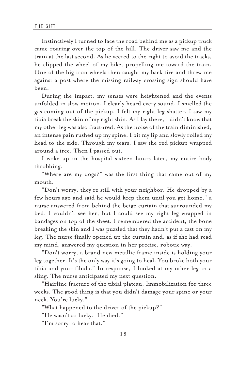Instinctively I turned to face the road behind me as a pickup truck came roaring over the top of the hill. The driver saw me and the train at the last second. As he veered to the right to avoid the tracks, he clipped the wheel of my bike, propelling me toward the train. One of the big iron wheels then caught my back tire and threw me against a post where the missing railway crossing sign should have been.

During the impact, my senses were heightened and the events unfolded in slow motion. I clearly heard every sound. I smelled the gas coming out of the pickup. I felt my right leg shatter. I saw my tibia break the skin of my right shin. As I lay there, I didn't know that my other leg was also fractured. As the noise of the train diminished, an intense pain rushed up my spine. I bit my lip and slowly rolled my head to the side. Through my tears, I saw the red pickup wrapped around a tree. Then I passed out.

I woke up in the hospital sixteen hours later, my entire body throbbing.

"Where are my dogs?" was the first thing that came out of my mouth.

"Don't worry, they're still with your neighbor. He dropped by a few hours ago and said he would keep them until you get home," a nurse answered from behind the beige curtain that surrounded my bed. I couldn't see her, but I could see my right leg wrapped in bandages on top of the sheet. I remembered the accident, the bone breaking the skin and I was puzzled that they hadn't put a cast on my leg. The nurse finally opened up the curtain and, as if she had read my mind, answered my question in her precise, robotic way.

"Don't worry, a brand new metallic frame inside is holding your leg together. It's the only way it's going to heal. You broke both your tibia and your fibula." In response, I looked at my other leg in a sling. The nurse anticipated my next question.

"Hairline fracture of the tibial plateau. Immobilization for three weeks. The good thing is that you didn't damage your spine or your neck. You're lucky."

"What happened to the driver of the pickup?"

"He wasn't so lucky. He died."

"I'm sorry to hear that."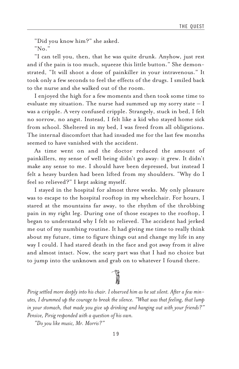"Did you know him?" she asked.

"No."

"I can tell you, then, that he was quite drunk. Anyhow, just rest and if the pain is too much, squeeze this little button." She demonstrated, "It will shoot a dose of painkiller in your intravenous." It took only a few seconds to feel the effects of the drugs. I smiled back to the nurse and she walked out of the room.

I enjoyed the high for a few moments and then took some time to evaluate my situation. The nurse had summed up my sorry state  $-1$ was a cripple. A very confused cripple. Strangely, stuck in bed, I felt no sorrow, no angst. Instead, I felt like a kid who stayed home sick from school. Sheltered in my bed, I was freed from all obligations. The internal discomfort that had invaded me for the last few months seemed to have vanished with the accident.

As time went on and the doctor reduced the amount of painkillers, my sense of well being didn't go away: it grew. It didn't make any sense to me. I should have been depressed, but instead I felt a heavy burden had been lifted from my shoulders. "Why do I feel so relieved?" I kept asking myself.

I stayed in the hospital for almost three weeks. My only pleasure was to escape to the hospital rooftop in my wheelchair. For hours, I stared at the mountains far away, to the rhythm of the throbbing pain in my right leg. During one of those escapes to the rooftop, I began to understand why I felt so relieved. The accident had jerked me out of my numbing routine. It had giving me time to really think about my future, time to figure things out and change my life in any way I could. I had stared death in the face and got away from it alive and almost intact. Now, the scary part was that I had no choice but to jump into the unknown and grab on to whatever I found there.

*Pirsig settled more deeply into his chair. I observed him as he sat silent. After a few minutes, I drummed up the courage to break the silence. "What was that feeling, that lump in your stomach, that made you give up drinking and hanging out with your friends?" Pensive, Pirsig responded with a question of his own.*

;

*"Do you like music, Mr. Morris?"*